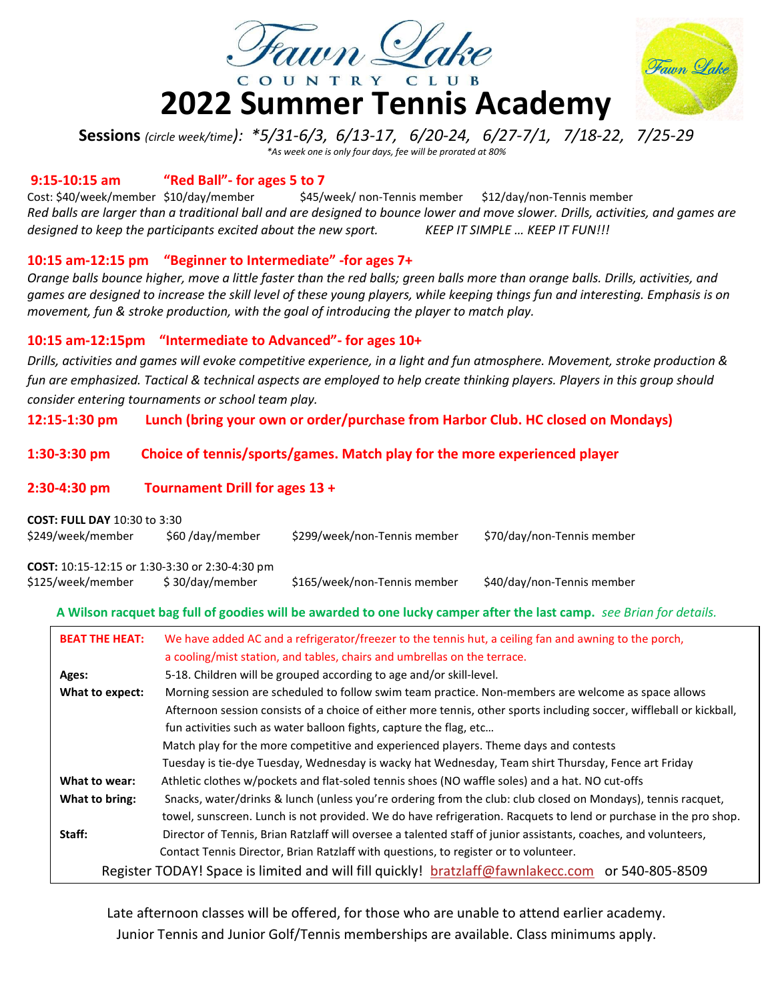

# 2022 Summer Tennis Academy



Sessions (circle week/time): \*5/31-6/3, 6/13-17, 6/20-24, 6/27-7/1, 7/18-22, 7/25-29 \*As week one is only four days, fee will be prorated at 80%

#### 9:15-10:15 am "Red Ball"- for ages 5 to 7

Cost: \$40/week/member \$10/day/member \$45/week/ non-Tennis member \$12/day/non-Tennis member Red balls are larger than a traditional ball and are designed to bounce lower and move slower. Drills, activities, and games are designed to keep the participants excited about the new sport. KEEP IT SIMPLE ... KEEP IT FUN!!!

## 10:15 am-12:15 pm "Beginner to Intermediate" -for ages 7+

Orange balls bounce higher, move a little faster than the red balls; green balls more than orange balls. Drills, activities, and games are designed to increase the skill level of these young players, while keeping things fun and interesting. Emphasis is on movement, fun & stroke production, with the goal of introducing the player to match play.

## 10:15 am-12:15pm "Intermediate to Advanced"- for ages 10+

Drills, activities and games will evoke competitive experience, in a light and fun atmosphere. Movement, stroke production & fun are emphasized. Tactical & technical aspects are employed to help create thinking players. Players in this group should consider entering tournaments or school team play.

12:15-1:30 pm Lunch (bring your own or order/purchase from Harbor Club. HC closed on Mondays)

## 1:30-3:30 pm Choice of tennis/sports/games. Match play for the more experienced player

#### 2:30-4:30 pm Tournament Drill for ages 13 +

| <b>COST: FULL DAY 10:30 to 3:30</b><br>\$249/week/member                   | \$60/day/member | \$299/week/non-Tennis member | \$70/day/non-Tennis member |
|----------------------------------------------------------------------------|-----------------|------------------------------|----------------------------|
| <b>COST:</b> 10:15-12:15 or 1:30-3:30 or 2:30-4:30 pm<br>\$125/week/member | \$30/day/member | \$165/week/non-Tennis member | \$40/day/non-Tennis member |

## A Wilson racquet bag full of goodies will be awarded to one lucky camper after the last camp. see Brian for details.

| <b>BEAT THE HEAT:</b>                                                                | We have added AC and a refrigerator/freezer to the tennis hut, a ceiling fan and awning to the porch,<br>a cooling/mist station, and tables, chairs and umbrellas on the terrace. |  |  |
|--------------------------------------------------------------------------------------|-----------------------------------------------------------------------------------------------------------------------------------------------------------------------------------|--|--|
| Ages:                                                                                | 5-18. Children will be grouped according to age and/or skill-level.                                                                                                               |  |  |
| What to expect:                                                                      | Morning session are scheduled to follow swim team practice. Non-members are welcome as space allows                                                                               |  |  |
|                                                                                      | Afternoon session consists of a choice of either more tennis, other sports including soccer, wiffleball or kickball,                                                              |  |  |
|                                                                                      | fun activities such as water balloon fights, capture the flag, etc                                                                                                                |  |  |
|                                                                                      | Match play for the more competitive and experienced players. Theme days and contests                                                                                              |  |  |
|                                                                                      | Tuesday is tie-dye Tuesday, Wednesday is wacky hat Wednesday, Team shirt Thursday, Fence art Friday                                                                               |  |  |
| What to wear:                                                                        | Athletic clothes w/pockets and flat-soled tennis shoes (NO waffle soles) and a hat. NO cut-offs                                                                                   |  |  |
| What to bring:                                                                       | Snacks, water/drinks & lunch (unless you're ordering from the club: club closed on Mondays), tennis racquet,                                                                      |  |  |
|                                                                                      | towel, sunscreen. Lunch is not provided. We do have refrigeration. Racquets to lend or purchase in the pro shop.                                                                  |  |  |
| Staff:                                                                               | Director of Tennis, Brian Ratzlaff will oversee a talented staff of junior assistants, coaches, and volunteers,                                                                   |  |  |
| Contact Tennis Director, Brian Ratzlaff with questions, to register or to volunteer. |                                                                                                                                                                                   |  |  |
|                                                                                      | Register TODAY! Space is limited and will fill quickly! bratzlaff@fawnlakecc.com or 540-805-8509                                                                                  |  |  |

Late afternoon classes will be offered, for those who are unable to attend earlier academy. Junior Tennis and Junior Golf/Tennis memberships are available. Class minimums apply.